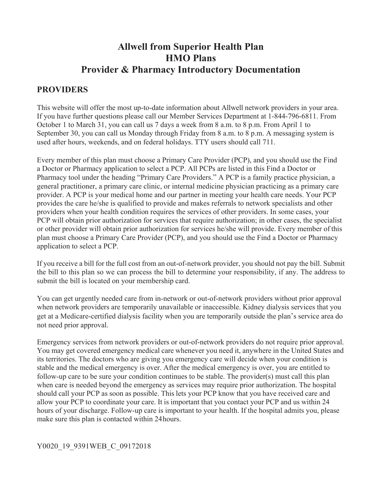# **Allwell from Superior Health Plan HMO Plans Provider & Pharmacy Introductory Documentation**

## **PROVIDERS**

This website will offer the most up-to-date information about Allwell network providers in your area. If you have further questions please call our Member Services Department at 1-844-796-6811. From October 1 to March 31, you can call us 7 days a week from 8 a.m. to 8 p.m. From April 1 to September 30, you can call us Monday through Friday from 8 a.m. to 8 p.m. A messaging system is used after hours, weekends, and on federal holidays. TTY users should call 711.

Every member of this plan must choose a Primary Care Provider (PCP), and you should use the Find a Doctor or Pharmacy application to select a PCP. All PCPs are listed in this Find a Doctor or Pharmacy tool under the heading "Primary Care Providers." A PCP is a family practice physician, a general practitioner, a primary care clinic, or internal medicine physician practicing as a primary care provider. A PCP is your medical home and our partner in meeting your health care needs. Your PCP provides the care he/she is qualified to provide and makes referrals to network specialists and other providers when your health condition requires the services of other providers. In some cases, your PCP will obtain prior authorization for services that require authorization; in other cases, the specialist or other provider will obtain prior authorization for services he/she will provide. Every member of this plan must choose a Primary Care Provider (PCP), and you should use the Find a Doctor or Pharmacy application to select a PCP.

If you receive a bill for the full cost from an out-of-network provider, you should not pay the bill. Submit the bill to this plan so we can process the bill to determine your responsibility, if any. The address to submit the bill is located on your membership card.

You can get urgently needed care from in-network or out-of-network providers without prior approval when network providers are temporarily unavailable or inaccessible. Kidney dialysis services that you get at a Medicare-certified dialysis facility when you are temporarily outside the plan's service area do not need prior approval.

Emergency services from network providers or out-of-network providers do not require prior approval. You may get covered emergency medical care whenever you need it, anywhere in the United States and its territories. The doctors who are giving you emergency care will decide when your condition is stable and the medical emergency is over. After the medical emergency is over, you are entitled to follow-up care to be sure your condition continues to be stable. The provider(s) must call this plan when care is needed beyond the emergency as services may require prior authorization. The hospital should call your PCP as soon as possible. This lets your PCP know that you have received care and allow your PCP to coordinate your care. It is important that you contact your PCP and us within 24 hours of your discharge. Follow-up care is important to your health. If the hospital admits you, please make sure this plan is contacted within 24 hours.

#### Y0020\_19\_9391WEB\_C\_09172018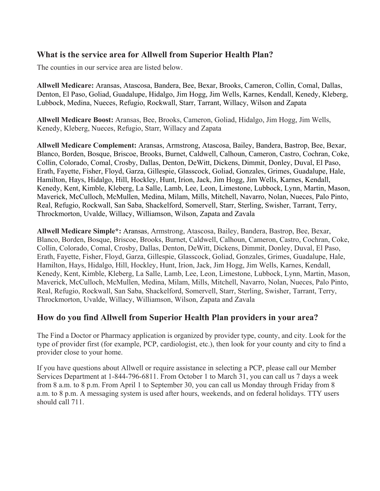## **What is the service area for Allwell from Superior Health Plan?**

The counties in our service area are listed below.

 **Allwell Medicare:** Aransas, Atascosa, Bandera, Bee, Bexar, Brooks, Cameron, Collin, Comal, Dallas, Denton, El Paso, Goliad, Guadalupe, Hidalgo, Jim Hogg, Jim Wells, Karnes, Kendall, Kenedy, Kleberg, Lubbock, Medina, Nueces, Refugio, Rockwall, Starr, Tarrant, Willacy, Wilson and Zapata

**Allwell Medicare Boost:** Aransas, Bee, Brooks, Cameron, Goliad, Hidalgo, Jim Hogg, Jim Wells, Kenedy, Kleberg, Nueces, Refugio, Starr, Willacy and Zapata

**Allwell Medicare Complement:** Aransas, Armstrong, Atascosa, Bailey, Bandera, Bastrop, Bee, Bexar, Blanco, Borden, Bosque, Briscoe, Brooks, Burnet, Caldwell, Calhoun, Cameron, Castro, Cochran, Coke, Collin, Colorado, Comal, Crosby, Dallas, Denton, DeWitt, Dickens, Dimmit, Donley, Duval, El Paso, Erath, Fayette, Fisher, Floyd, Garza, Gillespie, Glasscock, Goliad, Gonzales, Grimes, Guadalupe, Hale, Hamilton, Hays, Hidalgo, Hill, Hockley, Hunt, Irion, Jack, Jim Hogg, Jim Wells, Karnes, Kendall, Kenedy, Kent, Kimble, Kleberg, La Salle, Lamb, Lee, Leon, Limestone, Lubbock, Lynn, Martin, Mason, Maverick, McCulloch, McMullen, Medina, Milam, Mills, Mitchell, Navarro, Nolan, Nueces, Palo Pinto, Real, Refugio, Rockwall, San Saba, Shackelford, Somervell, Starr, Sterling, Swisher, Tarrant, Terry, Throckmorton, Uvalde, Willacy, Williamson, Wilson, Zapata and Zavala

**Allwell Medicare Simple\*:** Aransas, Armstrong, Atascosa, Bailey, Bandera, Bastrop, Bee, Bexar, Blanco, Borden, Bosque, Briscoe, Brooks, Burnet, Caldwell, Calhoun, Cameron, Castro, Cochran, Coke, Collin, Colorado, Comal, Crosby, Dallas, Denton, DeWitt, Dickens, Dimmit, Donley, Duval, El Paso, Erath, Fayette, Fisher, Floyd, Garza, Gillespie, Glasscock, Goliad, Gonzales, Grimes, Guadalupe, Hale, Hamilton, Hays, Hidalgo, Hill, Hockley, Hunt, Irion, Jack, Jim Hogg, Jim Wells, Karnes, Kendall, Kenedy, Kent, Kimble, Kleberg, La Salle, Lamb, Lee, Leon, Limestone, Lubbock, Lynn, Martin, Mason, Maverick, McCulloch, McMullen, Medina, Milam, Mills, Mitchell, Navarro, Nolan, Nueces, Palo Pinto, Real, Refugio, Rockwall, San Saba, Shackelford, Somervell, Starr, Sterling, Swisher, Tarrant, Terry, Throckmorton, Uvalde, Willacy, Williamson, Wilson, Zapata and Zavala

### **How do you find Allwell from Superior Health Plan providers in your area?**

The Find a Doctor or Pharmacy application is organized by provider type, county, and city. Look for the type of provider first (for example, PCP, cardiologist, etc.), then look for your county and city to find a provider close to your home.

If you have questions about Allwell or require assistance in selecting a PCP, please call our Member Services Department at 1-844-796-6811. From October 1 to March 31, you can call us 7 days a week from 8 a.m. to 8 p.m. From April 1 to September 30, you can call us Monday through Friday from 8 a.m. to 8 p.m. A messaging system is used after hours, weekends, and on federal holidays. TTY users should call 711.